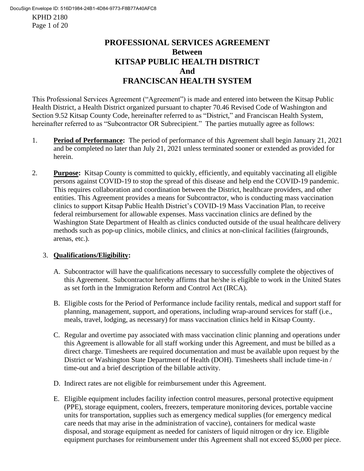# **PROFESSIONAL SERVICES AGREEMENT Between KITSAP PUBLIC HEALTH DISTRICT And FRANCISCAN HEALTH SYSTEM**

This Professional Services Agreement ("Agreement") is made and entered into between the Kitsap Public Health District, a Health District organized pursuant to chapter 70.46 Revised Code of Washington and Section 9.52 Kitsap County Code, hereinafter referred to as "District," and Franciscan Health System, hereinafter referred to as "Subcontractor OR Subrecipient." The parties mutually agree as follows:

- 1. **Period of Performance:** The period of performance of this Agreement shall begin January 21, 2021 and be completed no later than July 21, 2021 unless terminated sooner or extended as provided for herein.
- 2. **Purpose:** Kitsap County is committed to quickly, efficiently, and equitably vaccinating all eligible persons against COVID-19 to stop the spread of this disease and help end the COVID-19 pandemic. This requires collaboration and coordination between the District, healthcare providers, and other entities. This Agreement provides a means for Subcontractor, who is conducting mass vaccination clinics to support Kitsap Public Health District's COVID-19 Mass Vaccination Plan, to receive federal reimbursement for allowable expenses. Mass vaccination clinics are defined by the Washington State Department of Health as clinics conducted outside of the usual healthcare delivery methods such as pop-up clinics, mobile clinics, and clinics at non-clinical facilities (fairgrounds, arenas, etc.).

## 3. **Qualifications/Eligibility:**

- A. Subcontractor will have the qualifications necessary to successfully complete the objectives of this Agreement. Subcontractor hereby affirms that he/she is eligible to work in the United States as set forth in the Immigration Reform and Control Act (IRCA).
- B. Eligible costs for the Period of Performance include facility rentals, medical and support staff for planning, management, support, and operations, including wrap-around services for staff (i.e., meals, travel, lodging, as necessary) for mass vaccination clinics held in Kitsap County.
- C. Regular and overtime pay associated with mass vaccination clinic planning and operations under this Agreement is allowable for all staff working under this Agreement, and must be billed as a direct charge. Timesheets are required documentation and must be available upon request by the District or Washington State Department of Health (DOH). Timesheets shall include time-in / time-out and a brief description of the billable activity.
- D. Indirect rates are not eligible for reimbursement under this Agreement.
- E. Eligible equipment includes facility infection control measures, personal protective equipment (PPE), storage equipment, coolers, freezers, temperature monitoring devices, portable vaccine units for transportation, supplies such as emergency medical supplies (for emergency medical care needs that may arise in the administration of vaccine), containers for medical waste disposal, and storage equipment as needed for canisters of liquid nitrogen or dry ice. Eligible equipment purchases for reimbursement under this Agreement shall not exceed \$5,000 per piece.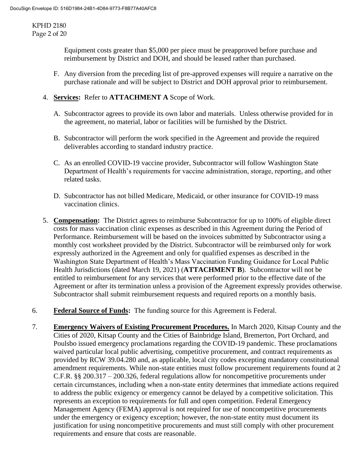#### KPHD 2180 Page 2 of 20

Equipment costs greater than \$5,000 per piece must be preapproved before purchase and reimbursement by District and DOH, and should be leased rather than purchased.

- F. Any diversion from the preceding list of pre-approved expenses will require a narrative on the purchase rationale and will be subject to District and DOH approval prior to reimbursement.
- 4. **Services:** Refer to **ATTACHMENT A** Scope of Work.
	- A. Subcontractor agrees to provide its own labor and materials. Unless otherwise provided for in the agreement, no material, labor or facilities will be furnished by the District.
	- B. Subcontractor will perform the work specified in the Agreement and provide the required deliverables according to standard industry practice.
	- C. As an enrolled COVID-19 vaccine provider, Subcontractor will follow Washington State Department of Health's requirements for vaccine administration, storage, reporting, and other related tasks.
	- D. Subcontractor has not billed Medicare, Medicaid, or other insurance for COVID-19 mass vaccination clinics.
- 5. **Compensation:** The District agrees to reimburse Subcontractor for up to 100% of eligible direct costs for mass vaccination clinic expenses as described in this Agreement during the Period of Performance. Reimbursement will be based on the invoices submitted by Subcontractor using a monthly cost worksheet provided by the District. Subcontractor will be reimbursed only for work expressly authorized in the Agreement and only for qualified expenses as described in the Washington State Department of Health's Mass Vaccination Funding Guidance for Local Public Health Jurisdictions (dated March 19, 2021) (**ATTACHMENT B**). Subcontractor will not be entitled to reimbursement for any services that were performed prior to the effective date of the Agreement or after its termination unless a provision of the Agreement expressly provides otherwise. Subcontractor shall submit reimbursement requests and required reports on a monthly basis.
- 6. **Federal Source of Funds:** The funding source for this Agreement is Federal.
- 7. **Emergency Waivers of Existing Procurement Procedures.** In March 2020, Kitsap County and the Cities of 2020, Kitsap County and the Cities of Bainbridge Island, Bremerton, Port Orchard, and Poulsbo issued emergency proclamations regarding the COVID-19 pandemic. These proclamations waived particular local public advertising, competitive procurement, and contract requirements as provided by RCW 39.04.280 and, as applicable, local city codes excepting mandatory constitutional amendment requirements. While non-state entities must follow procurement requirements found at 2 C.F.R. §§ 200.317 – 200.326, federal regulations allow for noncompetitive procurements under certain circumstances, including when a non-state entity determines that immediate actions required to address the public exigency or emergency cannot be delayed by a competitive solicitation. This represents an exception to requirements for full and open competition. Federal Emergency Management Agency (FEMA) approval is not required for use of noncompetitive procurements under the emergency or exigency exception; however, the non-state entity must document its justification for using noncompetitive procurements and must still comply with other procurement requirements and ensure that costs are reasonable.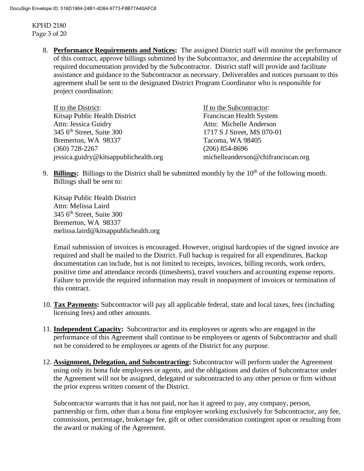KPHD 2180 Page 3 of 20

> 8. **Performance Requirements and Notices:** The assigned District staff will monitor the performance of this contract, approve billings submitted by the Subcontractor, and determine the acceptability of required documentation provided by the Subcontractor. District staff will provide and facilitate assistance and guidance to the Subcontractor as necessary. Deliverables and notices pursuant to this agreement shall be sent to the designated District Program Coordinator who is responsible for project coordination:

| If to the District:                   | If to the Subcontractor:           |  |
|---------------------------------------|------------------------------------|--|
| Kitsap Public Health District         | Franciscan Health System           |  |
| Attn: Jessica Guidry                  | Attn: Michelle Anderson            |  |
| 345 $6th$ Street, Suite 300           | 1717 S J Street, MS 070-01         |  |
| Bremerton, WA 98337                   | Tacoma, WA 98405                   |  |
| $(360)$ 728-2267                      | $(206)$ 854-8696                   |  |
| jessica.guidry@kitsappublichealth.org | michelleanderson@chifranciscan.org |  |

9. **Billings:** Billings to the District shall be submitted monthly by the 10<sup>th</sup> of the following month. Billings shall be sent to:

Kitsap Public Health District Attn: Melissa Laird  $345$  6<sup>th</sup> Street, Suite 300 Bremerton, WA 98337 melissa.laird@kitsappublichealth.org

Email submission of invoices is encouraged. However, original hardcopies of the signed invoice are required and shall be mailed to the District. Full backup is required for all expenditures. Backup documentation can include, but is not limited to receipts, invoices, billing records, work orders, positive time and attendance records (timesheets), travel vouchers and accounting expense reports. Failure to provide the required information may result in nonpayment of invoices or termination of this contract.

- 10. **Tax Payments:** Subcontractor will pay all applicable federal, state and local taxes, fees (including licensing fees) and other amounts.
- 11. **Independent Capacity:** Subcontractor and its employees or agents who are engaged in the performance of this Agreement shall continue to be employees or agents of Subcontractor and shall not be considered to be employees or agents of the District for any purpose.
- 12. **Assignment, Delegation, and Subcontracting:** Subcontractor will perform under the Agreement using only its bona fide employees or agents, and the obligations and duties of Subcontractor under the Agreement will not be assigned, delegated or subcontracted to any other person or firm without the prior express written consent of the District.

Subcontractor warrants that it has not paid, nor has it agreed to pay, any company, person, partnership or firm, other than a bona fine employee working exclusively for Subcontractor, any fee, commission, percentage, brokerage fee, gift or other consideration contingent upon or resulting from the award or making of the Agreement.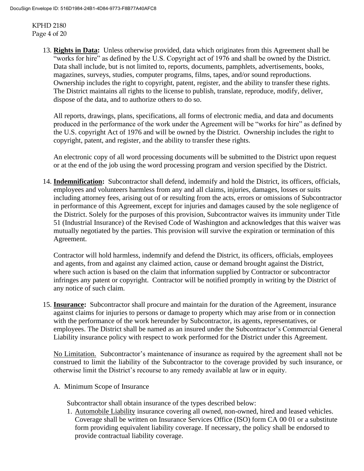KPHD 2180 Page 4 of 20

> 13. **Rights in Data:** Unless otherwise provided, data which originates from this Agreement shall be "works for hire" as defined by the U.S. Copyright act of 1976 and shall be owned by the District. Data shall include, but is not limited to, reports, documents, pamphlets, advertisements, books, magazines, surveys, studies, computer programs, films, tapes, and/or sound reproductions. Ownership includes the right to copyright, patent, register, and the ability to transfer these rights. The District maintains all rights to the license to publish, translate, reproduce, modify, deliver, dispose of the data, and to authorize others to do so.

All reports, drawings, plans, specifications, all forms of electronic media, and data and documents produced in the performance of the work under the Agreement will be "works for hire" as defined by the U.S. copyright Act of 1976 and will be owned by the District. Ownership includes the right to copyright, patent, and register, and the ability to transfer these rights.

An electronic copy of all word processing documents will be submitted to the District upon request or at the end of the job using the word processing program and version specified by the District.

14. **Indemnification:** Subcontractor shall defend, indemnify and hold the District, its officers, officials, employees and volunteers harmless from any and all claims, injuries, damages, losses or suits including attorney fees, arising out of or resulting from the acts, errors or omissions of Subcontractor in performance of this Agreement, except for injuries and damages caused by the sole negligence of the District. Solely for the purposes of this provision, Subcontractor waives its immunity under Title 51 (Industrial Insurance) of the Revised Code of Washington and acknowledges that this waiver was mutually negotiated by the parties. This provision will survive the expiration or termination of this Agreement.

Contractor will hold harmless, indemnify and defend the District, its officers, officials, employees and agents, from and against any claimed action, cause or demand brought against the District, where such action is based on the claim that information supplied by Contractor or subcontractor infringes any patent or copyright. Contractor will be notified promptly in writing by the District of any notice of such claim.

15. **Insurance:** Subcontractor shall procure and maintain for the duration of the Agreement, insurance against claims for injuries to persons or damage to property which may arise from or in connection with the performance of the work hereunder by Subcontractor, its agents, representatives, or employees. The District shall be named as an insured under the Subcontractor's Commercial General Liability insurance policy with respect to work performed for the District under this Agreement.

No Limitation. Subcontractor's maintenance of insurance as required by the agreement shall not be construed to limit the liability of the Subcontractor to the coverage provided by such insurance, or otherwise limit the District's recourse to any remedy available at law or in equity.

A. Minimum Scope of Insurance

Subcontractor shall obtain insurance of the types described below:

1. Automobile Liability insurance covering all owned, non-owned, hired and leased vehicles. Coverage shall be written on Insurance Services Office (ISO) form CA 00 01 or a substitute form providing equivalent liability coverage. If necessary, the policy shall be endorsed to provide contractual liability coverage.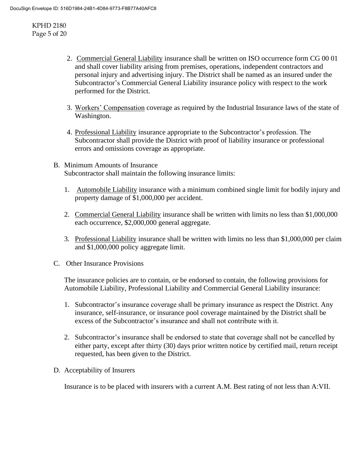KPHD 2180 Page 5 of 20

- 2. Commercial General Liability insurance shall be written on ISO occurrence form CG 00 01 and shall cover liability arising from premises, operations, independent contractors and personal injury and advertising injury. The District shall be named as an insured under the Subcontractor's Commercial General Liability insurance policy with respect to the work performed for the District.
- 3. Workers' Compensation coverage as required by the Industrial Insurance laws of the state of Washington.
- 4. Professional Liability insurance appropriate to the Subcontractor's profession. The Subcontractor shall provide the District with proof of liability insurance or professional errors and omissions coverage as appropriate.
- B. Minimum Amounts of Insurance Subcontractor shall maintain the following insurance limits:
	- 1. Automobile Liability insurance with a minimum combined single limit for bodily injury and property damage of \$1,000,000 per accident.
	- 2. Commercial General Liability insurance shall be written with limits no less than \$1,000,000 each occurrence, \$2,000,000 general aggregate.
	- 3. Professional Liability insurance shall be written with limits no less than \$1,000,000 per claim and \$1,000,000 policy aggregate limit.
- C. Other Insurance Provisions

The insurance policies are to contain, or be endorsed to contain, the following provisions for Automobile Liability, Professional Liability and Commercial General Liability insurance:

- 1. Subcontractor's insurance coverage shall be primary insurance as respect the District. Any insurance, self-insurance, or insurance pool coverage maintained by the District shall be excess of the Subcontractor's insurance and shall not contribute with it.
- 2. Subcontractor's insurance shall be endorsed to state that coverage shall not be cancelled by either party, except after thirty (30) days prior written notice by certified mail, return receipt requested, has been given to the District.
- D. Acceptability of Insurers

Insurance is to be placed with insurers with a current A.M. Best rating of not less than A:VII.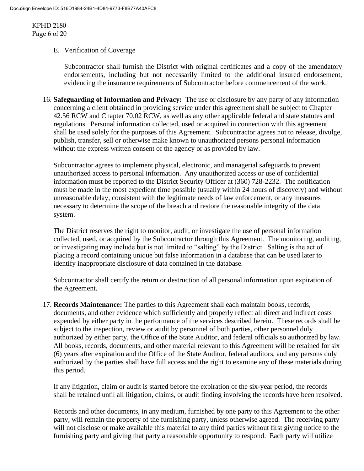KPHD 2180 Page 6 of 20

### E. Verification of Coverage

Subcontractor shall furnish the District with original certificates and a copy of the amendatory endorsements, including but not necessarily limited to the additional insured endorsement, evidencing the insurance requirements of Subcontractor before commencement of the work.

16. **Safeguarding of Information and Privacy:** The use or disclosure by any party of any information concerning a client obtained in providing service under this agreement shall be subject to Chapter 42.56 RCW and Chapter 70.02 RCW, as well as any other applicable federal and state statutes and regulations. Personal information collected, used or acquired in connection with this agreement shall be used solely for the purposes of this Agreement. Subcontractor agrees not to release, divulge, publish, transfer, sell or otherwise make known to unauthorized persons personal information without the express written consent of the agency or as provided by law.

Subcontractor agrees to implement physical, electronic, and managerial safeguards to prevent unauthorized access to personal information. Any unauthorized access or use of confidential information must be reported to the District Security Officer at (360) 728-2232. The notification must be made in the most expedient time possible (usually within 24 hours of discovery) and without unreasonable delay, consistent with the legitimate needs of law enforcement, or any measures necessary to determine the scope of the breach and restore the reasonable integrity of the data system.

The District reserves the right to monitor, audit, or investigate the use of personal information collected, used, or acquired by the Subcontractor through this Agreement. The monitoring, auditing, or investigating may include but is not limited to "salting" by the District. Salting is the act of placing a record containing unique but false information in a database that can be used later to identify inappropriate disclosure of data contained in the database.

Subcontractor shall certify the return or destruction of all personal information upon expiration of the Agreement.

17. **Records Maintenance:** The parties to this Agreement shall each maintain books, records, documents, and other evidence which sufficiently and properly reflect all direct and indirect costs expended by either party in the performance of the services described herein. These records shall be subject to the inspection, review or audit by personnel of both parties, other personnel duly authorized by either party, the Office of the State Auditor, and federal officials so authorized by law. All books, records, documents, and other material relevant to this Agreement will be retained for six (6) years after expiration and the Office of the State Auditor, federal auditors, and any persons duly authorized by the parties shall have full access and the right to examine any of these materials during this period.

If any litigation, claim or audit is started before the expiration of the six-year period, the records shall be retained until all litigation, claims, or audit finding involving the records have been resolved.

Records and other documents, in any medium, furnished by one party to this Agreement to the other party, will remain the property of the furnishing party, unless otherwise agreed. The receiving party will not disclose or make available this material to any third parties without first giving notice to the furnishing party and giving that party a reasonable opportunity to respond. Each party will utilize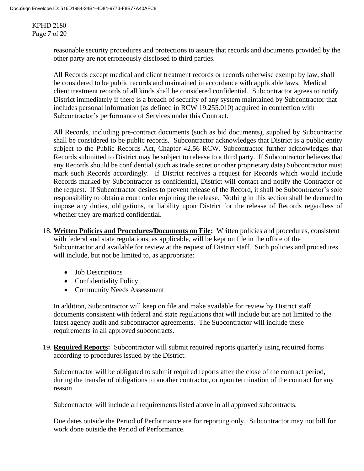KPHD 2180 Page 7 of 20

> reasonable security procedures and protections to assure that records and documents provided by the other party are not erroneously disclosed to third parties.

> All Records except medical and client treatment records or records otherwise exempt by law, shall be considered to be public records and maintained in accordance with applicable laws. Medical client treatment records of all kinds shall be considered confidential. Subcontractor agrees to notify District immediately if there is a breach of security of any system maintained by Subcontractor that includes personal information (as defined in RCW 19.255.010) acquired in connection with Subcontractor's performance of Services under this Contract.

All Records, including pre-contract documents (such as bid documents), supplied by Subcontractor shall be considered to be public records. Subcontractor acknowledges that District is a public entity subject to the Public Records Act, Chapter 42.56 RCW. Subcontractor further acknowledges that Records submitted to District may be subject to release to a third party. If Subcontractor believes that any Records should be confidential (such as trade secret or other proprietary data) Subcontractor must mark such Records accordingly. If District receives a request for Records which would include Records marked by Subcontractor as confidential, District will contact and notify the Contractor of the request. If Subcontractor desires to prevent release of the Record, it shall be Subcontractor's sole responsibility to obtain a court order enjoining the release. Nothing in this section shall be deemed to impose any duties, obligations, or liability upon District for the release of Records regardless of whether they are marked confidential.

- 18. **Written Policies and Procedures/Documents on File:** Written policies and procedures, consistent with federal and state regulations, as applicable, will be kept on file in the office of the Subcontractor and available for review at the request of District staff. Such policies and procedures will include, but not be limited to, as appropriate:
	- Job Descriptions
	- Confidentiality Policy
	- Community Needs Assessment

In addition, Subcontractor will keep on file and make available for review by District staff documents consistent with federal and state regulations that will include but are not limited to the latest agency audit and subcontractor agreements. The Subcontractor will include these requirements in all approved subcontracts.

19. **Required Reports:** Subcontractor will submit required reports quarterly using required forms according to procedures issued by the District.

Subcontractor will be obligated to submit required reports after the close of the contract period, during the transfer of obligations to another contractor, or upon termination of the contract for any reason.

Subcontractor will include all requirements listed above in all approved subcontracts.

Due dates outside the Period of Performance are for reporting only. Subcontractor may not bill for work done outside the Period of Performance.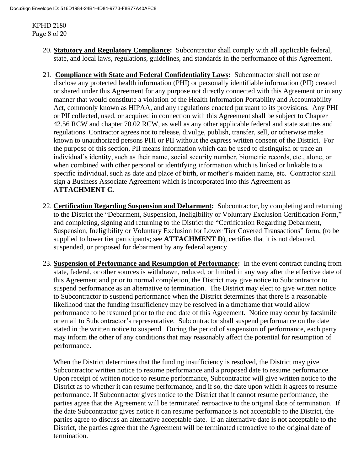KPHD 2180 Page 8 of 20

- 20. **Statutory and Regulatory Compliance:** Subcontractor shall comply with all applicable federal, state, and local laws, regulations, guidelines, and standards in the performance of this Agreement.
- 21. **Compliance with State and Federal Confidentiality Laws:** Subcontractor shall not use or disclose any protected health information (PHI) or personally identifiable information (PII) created or shared under this Agreement for any purpose not directly connected with this Agreement or in any manner that would constitute a violation of the Health Information Portability and Accountability Act, commonly known as HIPAA, and any regulations enacted pursuant to its provisions. Any PHI or PII collected, used, or acquired in connection with this Agreement shall be subject to Chapter 42.56 RCW and chapter 70.02 RCW, as well as any other applicable federal and state statutes and regulations. Contractor agrees not to release, divulge, publish, transfer, sell, or otherwise make known to unauthorized persons PHI or PII without the express written consent of the District. For the purpose of this section, PII means information which can be used to distinguish or trace an individual's identity, such as their name, social security number, biometric records, etc., alone, or when combined with other personal or identifying information which is linked or linkable to a specific individual, such as date and place of birth, or mother's maiden name, etc. Contractor shall sign a Business Associate Agreement which is incorporated into this Agreement as **ATTACHMENT C.**
- 22. **Certification Regarding Suspension and Debarment:** Subcontractor, by completing and returning to the District the "Debarment, Suspension, Ineligibility or Voluntary Exclusion Certification Form," and completing, signing and returning to the District the "Certification Regarding Debarment, Suspension, Ineligibility or Voluntary Exclusion for Lower Tier Covered Transactions" form, (to be supplied to lower tier participants; see **ATTACHMENT D**), certifies that it is not debarred, suspended, or proposed for debarment by any federal agency.
- 23. **Suspension of Performance and Resumption of Performance:** In the event contract funding from state, federal, or other sources is withdrawn, reduced, or limited in any way after the effective date of this Agreement and prior to normal completion, the District may give notice to Subcontractor to suspend performance as an alternative to termination. The District may elect to give written notice to Subcontractor to suspend performance when the District determines that there is a reasonable likelihood that the funding insufficiency may be resolved in a timeframe that would allow performance to be resumed prior to the end date of this Agreement. Notice may occur by facsimile or email to Subcontractor's representative. Subcontractor shall suspend performance on the date stated in the written notice to suspend. During the period of suspension of performance, each party may inform the other of any conditions that may reasonably affect the potential for resumption of performance.

When the District determines that the funding insufficiency is resolved, the District may give Subcontractor written notice to resume performance and a proposed date to resume performance. Upon receipt of written notice to resume performance, Subcontractor will give written notice to the District as to whether it can resume performance, and if so, the date upon which it agrees to resume performance. If Subcontractor gives notice to the District that it cannot resume performance, the parties agree that the Agreement will be terminated retroactive to the original date of termination. If the date Subcontractor gives notice it can resume performance is not acceptable to the District, the parties agree to discuss an alternative acceptable date. If an alternative date is not acceptable to the District, the parties agree that the Agreement will be terminated retroactive to the original date of termination.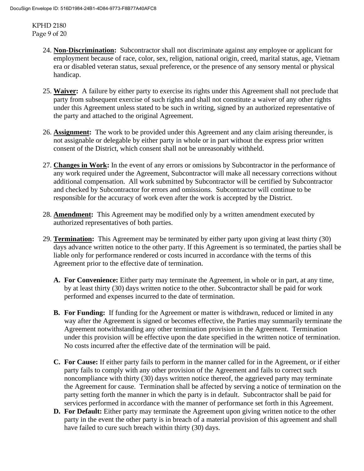KPHD 2180 Page 9 of 20

- 24. **Non-Discrimination:** Subcontractor shall not discriminate against any employee or applicant for employment because of race, color, sex, religion, national origin, creed, marital status, age, Vietnam era or disabled veteran status, sexual preference, or the presence of any sensory mental or physical handicap.
- 25. **Waiver:** A failure by either party to exercise its rights under this Agreement shall not preclude that party from subsequent exercise of such rights and shall not constitute a waiver of any other rights under this Agreement unless stated to be such in writing, signed by an authorized representative of the party and attached to the original Agreement.
- 26. **Assignment:** The work to be provided under this Agreement and any claim arising thereunder, is not assignable or delegable by either party in whole or in part without the express prior written consent of the District, which consent shall not be unreasonably withheld.
- 27. **Changes in Work:** In the event of any errors or omissions by Subcontractor in the performance of any work required under the Agreement, Subcontractor will make all necessary corrections without additional compensation. All work submitted by Subcontractor will be certified by Subcontractor and checked by Subcontractor for errors and omissions. Subcontractor will continue to be responsible for the accuracy of work even after the work is accepted by the District.
- 28. **Amendment:** This Agreement may be modified only by a written amendment executed by authorized representatives of both parties.
- 29. **Termination:** This Agreement may be terminated by either party upon giving at least thirty (30) days advance written notice to the other party. If this Agreement is so terminated, the parties shall be liable only for performance rendered or costs incurred in accordance with the terms of this Agreement prior to the effective date of termination.
	- **A. For Convenience:** Either party may terminate the Agreement, in whole or in part, at any time, by at least thirty (30) days written notice to the other. Subcontractor shall be paid for work performed and expenses incurred to the date of termination.
	- **B. For Funding:** If funding for the Agreement or matter is withdrawn, reduced or limited in any way after the Agreement is signed or becomes effective, the Parties may summarily terminate the Agreement notwithstanding any other termination provision in the Agreement. Termination under this provision will be effective upon the date specified in the written notice of termination. No costs incurred after the effective date of the termination will be paid.
	- **C. For Cause:** If either party fails to perform in the manner called for in the Agreement, or if either party fails to comply with any other provision of the Agreement and fails to correct such noncompliance with thirty (30) days written notice thereof, the aggrieved party may terminate the Agreement for cause. Termination shall be affected by serving a notice of termination on the party setting forth the manner in which the party is in default. Subcontractor shall be paid for services performed in accordance with the manner of performance set forth in this Agreement.
	- **D.** For Default: Either party may terminate the Agreement upon giving written notice to the other party in the event the other party is in breach of a material provision of this agreement and shall have failed to cure such breach within thirty (30) days.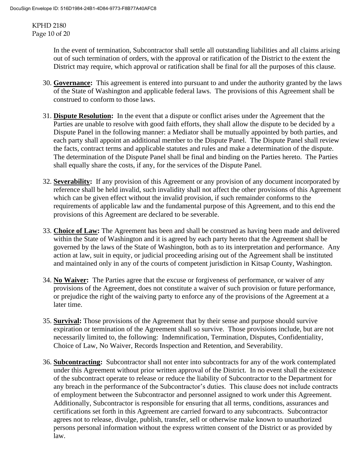KPHD 2180 Page 10 of 20

> In the event of termination, Subcontractor shall settle all outstanding liabilities and all claims arising out of such termination of orders, with the approval or ratification of the District to the extent the District may require, which approval or ratification shall be final for all the purposes of this clause.

- 30. **Governance:** This agreement is entered into pursuant to and under the authority granted by the laws of the State of Washington and applicable federal laws. The provisions of this Agreement shall be construed to conform to those laws.
- 31. **Dispute Resolution:** In the event that a dispute or conflict arises under the Agreement that the Parties are unable to resolve with good faith efforts, they shall allow the dispute to be decided by a Dispute Panel in the following manner: a Mediator shall be mutually appointed by both parties, and each party shall appoint an additional member to the Dispute Panel. The Dispute Panel shall review the facts, contract terms and applicable statutes and rules and make a determination of the dispute. The determination of the Dispute Panel shall be final and binding on the Parties hereto. The Parties shall equally share the costs, if any, for the services of the Dispute Panel.
- 32. **Severability:** If any provision of this Agreement or any provision of any document incorporated by reference shall be held invalid, such invalidity shall not affect the other provisions of this Agreement which can be given effect without the invalid provision, if such remainder conforms to the requirements of applicable law and the fundamental purpose of this Agreement, and to this end the provisions of this Agreement are declared to be severable.
- 33. **Choice of Law:** The Agreement has been and shall be construed as having been made and delivered within the State of Washington and it is agreed by each party hereto that the Agreement shall be governed by the laws of the State of Washington, both as to its interpretation and performance. Any action at law, suit in equity, or judicial proceeding arising out of the Agreement shall be instituted and maintained only in any of the courts of competent jurisdiction in Kitsap County, Washington.
- 34. **No Waiver:** The Parties agree that the excuse or forgiveness of performance, or waiver of any provisions of the Agreement, does not constitute a waiver of such provision or future performance, or prejudice the right of the waiving party to enforce any of the provisions of the Agreement at a later time.
- 35. **Survival:** Those provisions of the Agreement that by their sense and purpose should survive expiration or termination of the Agreement shall so survive. Those provisions include, but are not necessarily limited to, the following: Indemnification, Termination, Disputes, Confidentiality, Choice of Law, No Waiver, Records Inspection and Retention, and Severability.
- 36. **Subcontracting:** Subcontractor shall not enter into subcontracts for any of the work contemplated under this Agreement without prior written approval of the District. In no event shall the existence of the subcontract operate to release or reduce the liability of Subcontractor to the Department for any breach in the performance of the Subcontractor's duties. This clause does not include contracts of employment between the Subcontractor and personnel assigned to work under this Agreement. Additionally, Subcontractor is responsible for ensuring that all terms, conditions, assurances and certifications set forth in this Agreement are carried forward to any subcontracts. Subcontractor agrees not to release, divulge, publish, transfer, sell or otherwise make known to unauthorized persons personal information without the express written consent of the District or as provided by law.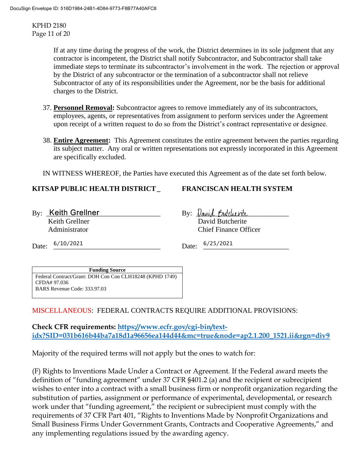KPHD 2180 Page 11 of 20

> If at any time during the progress of the work, the District determines in its sole judgment that any contractor is incompetent, the District shall notify Subcontractor, and Subcontractor shall take immediate steps to terminate its subcontractor's involvement in the work. The rejection or approval by the District of any subcontractor or the termination of a subcontractor shall not relieve Subcontractor of any of its responsibilities under the Agreement, nor be the basis for additional charges to the District.

- 37. **Personnel Removal:** Subcontractor agrees to remove immediately any of its subcontractors, employees, agents, or representatives from assignment to perform services under the Agreement upon receipt of a written request to do so from the District's contract representative or designee.
- 38. **Entire Agreement:** This Agreement constitutes the entire agreement between the parties regarding its subject matter. Any oral or written representations not expressly incorporated in this Agreement are specifically excluded.

IN WITNESS WHEREOF, the Parties have executed this Agreement as of the date set forth below.

### **KITSAP PUBLIC HEALTH DISTRICT\_ FRANCISCAN HEALTH SYSTEM**

By: <u>Keith Grellner</u> By: David Butchente

Keith Grellner David Butcherite Administrator Chief Finance Officer

Date:  $\frac{6/10/2021}{2}$  Date:  $\frac{6/25/2021}{2}$ 6/10/2021 Date: <sup>6/25/2021</sup>

**Funding Source** Federal Contract/Grant: DOH Con Con CLH18248 (KPHD 1749) CFDA# 97.036 BARS Revenue Code: 333.97.03

MISCELLANEOUS: FEDERAL CONTRACTS REQUIRE ADDITIONAL PROVISIONS:

**Check CFR requirements: [https://www.ecfr.gov/cgi-bin/text](https://www.ecfr.gov/cgi-bin/text-idx?SID=031b616b44ba7a18d1a96656ea144d44&mc=true&node=ap2.1.200_1521.ii&rgn=div9)[idx?SID=031b616b44ba7a18d1a96656ea144d44&mc=true&node=ap2.1.200\\_1521.ii&rgn=div9](https://www.ecfr.gov/cgi-bin/text-idx?SID=031b616b44ba7a18d1a96656ea144d44&mc=true&node=ap2.1.200_1521.ii&rgn=div9)**

Majority of the required terms will not apply but the ones to watch for:

(F) Rights to Inventions Made Under a Contract or Agreement. If the Federal award meets the definition of "funding agreement" under 37 CFR §401.2 (a) and the recipient or subrecipient wishes to enter into a contract with a small business firm or nonprofit organization regarding the substitution of parties, assignment or performance of experimental, developmental, or research work under that "funding agreement," the recipient or subrecipient must comply with the requirements of 37 CFR Part 401, "Rights to Inventions Made by Nonprofit Organizations and Small Business Firms Under Government Grants, Contracts and Cooperative Agreements," and any implementing regulations issued by the awarding agency.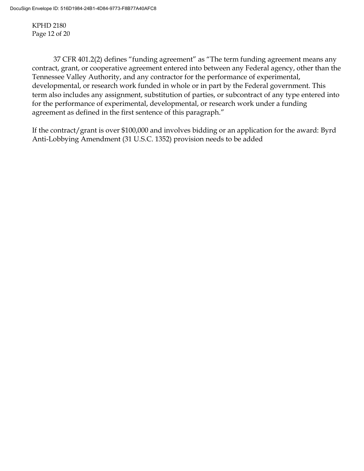KPHD 2180 Page 12 of 20

37 CFR 401.2(2) defines "funding agreement" as "The term funding agreement means any contract, grant, or cooperative agreement entered into between any Federal agency, other than the Tennessee Valley Authority, and any contractor for the performance of experimental, developmental, or research work funded in whole or in part by the Federal government. This term also includes any assignment, substitution of parties, or subcontract of any type entered into for the performance of experimental, developmental, or research work under a funding agreement as defined in the first sentence of this paragraph."

If the contract/grant is over \$100,000 and involves bidding or an application for the award: Byrd Anti-Lobbying Amendment (31 U.S.C. 1352) provision needs to be added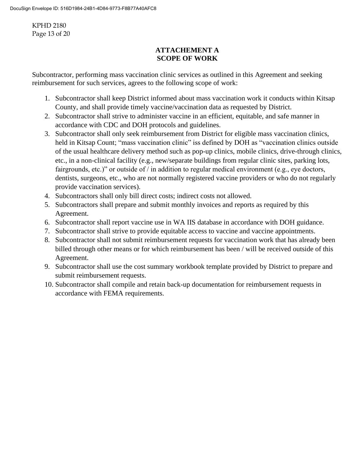KPHD 2180 Page 13 of 20

# **ATTACHEMENT A SCOPE OF WORK**

Subcontractor, performing mass vaccination clinic services as outlined in this Agreement and seeking reimbursement for such services, agrees to the following scope of work:

- 1. Subcontractor shall keep District informed about mass vaccination work it conducts within Kitsap County, and shall provide timely vaccine/vaccination data as requested by District.
- 2. Subcontractor shall strive to administer vaccine in an efficient, equitable, and safe manner in accordance with CDC and DOH protocols and guidelines.
- 3. Subcontractor shall only seek reimbursement from District for eligible mass vaccination clinics, held in Kitsap Count; "mass vaccination clinic" iss defined by DOH as "vaccination clinics outside of the usual healthcare delivery method such as pop-up clinics, mobile clinics, drive-through clinics, etc., in a non-clinical facility (e.g., new/separate buildings from regular clinic sites, parking lots, fairgrounds, etc.)" or outside of / in addition to regular medical environment (e.g., eye doctors, dentists, surgeons, etc., who are not normally registered vaccine providers or who do not regularly provide vaccination services).
- 4. Subcontractors shall only bill direct costs; indirect costs not allowed.
- 5. Subcontractors shall prepare and submit monthly invoices and reports as required by this Agreement.
- 6. Subcontractor shall report vaccine use in WA IIS database in accordance with DOH guidance.
- 7. Subcontractor shall strive to provide equitable access to vaccine and vaccine appointments.
- 8. Subcontractor shall not submit reimbursement requests for vaccination work that has already been billed through other means or for which reimbursement has been / will be received outside of this Agreement.
- 9. Subcontractor shall use the cost summary workbook template provided by District to prepare and submit reimbursement requests.
- 10. Subcontractor shall compile and retain back-up documentation for reimbursement requests in accordance with FEMA requirements.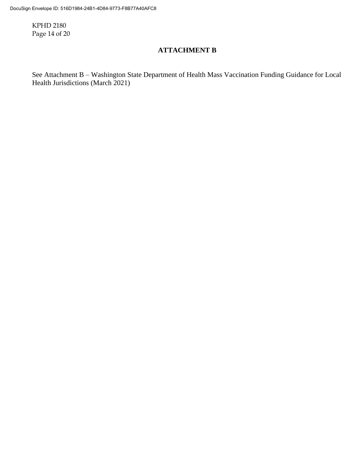KPHD 2180 Page 14 of 20

# **ATTACHMENT B**

See Attachment B – Washington State Department of Health Mass Vaccination Funding Guidance for Local Health Jurisdictions (March 2021)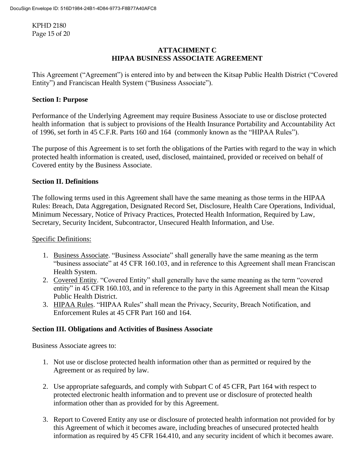KPHD 2180 Page 15 of 20

## **ATTACHMENT C HIPAA BUSINESS ASSOCIATE AGREEMENT**

This Agreement ("Agreement") is entered into by and between the Kitsap Public Health District ("Covered Entity") and Franciscan Health System ("Business Associate").

## **Section I: Purpose**

Performance of the Underlying Agreement may require Business Associate to use or disclose protected health information that is subject to provisions of the Health Insurance Portability and Accountability Act of 1996, set forth in 45 C.F.R. Parts 160 and 164 (commonly known as the "HIPAA Rules").

The purpose of this Agreement is to set forth the obligations of the Parties with regard to the way in which protected health information is created, used, disclosed, maintained, provided or received on behalf of Covered entity by the Business Associate.

### **Section II. Definitions**

The following terms used in this Agreement shall have the same meaning as those terms in the HIPAA Rules: Breach, Data Aggregation, Designated Record Set, Disclosure, Health Care Operations, Individual, Minimum Necessary, Notice of Privacy Practices, Protected Health Information, Required by Law, Secretary, Security Incident, Subcontractor, Unsecured Health Information, and Use.

#### Specific Definitions:

- 1. Business Associate. "Business Associate" shall generally have the same meaning as the term "business associate" at 45 CFR 160.103, and in reference to this Agreement shall mean Franciscan Health System.
- 2. Covered Entity. "Covered Entity" shall generally have the same meaning as the term "covered entity" in 45 CFR 160.103, and in reference to the party in this Agreement shall mean the Kitsap Public Health District.
- 3. HIPAA Rules. "HIPAA Rules" shall mean the Privacy, Security, Breach Notification, and Enforcement Rules at 45 CFR Part 160 and 164.

#### **Section III. Obligations and Activities of Business Associate**

Business Associate agrees to:

- 1. Not use or disclose protected health information other than as permitted or required by the Agreement or as required by law.
- 2. Use appropriate safeguards, and comply with Subpart C of 45 CFR, Part 164 with respect to protected electronic health information and to prevent use or disclosure of protected health information other than as provided for by this Agreement.
- 3. Report to Covered Entity any use or disclosure of protected health information not provided for by this Agreement of which it becomes aware, including breaches of unsecured protected health information as required by 45 CFR 164.410, and any security incident of which it becomes aware.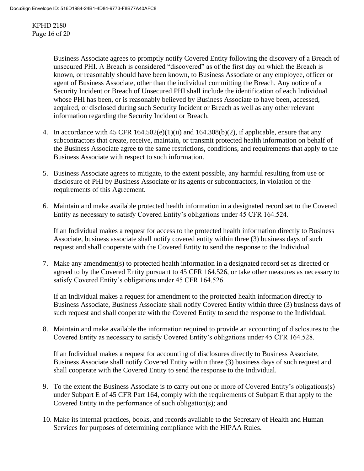KPHD 2180 Page 16 of 20

> Business Associate agrees to promptly notify Covered Entity following the discovery of a Breach of unsecured PHI. A Breach is considered "discovered" as of the first day on which the Breach is known, or reasonably should have been known, to Business Associate or any employee, officer or agent of Business Associate, other than the individual committing the Breach. Any notice of a Security Incident or Breach of Unsecured PHI shall include the identification of each Individual whose PHI has been, or is reasonably believed by Business Associate to have been, accessed, acquired, or disclosed during such Security Incident or Breach as well as any other relevant information regarding the Security Incident or Breach.

- 4. In accordance with 45 CFR  $164.502(e)(1)(ii)$  and  $164.308(b)(2)$ , if applicable, ensure that any subcontractors that create, receive, maintain, or transmit protected health information on behalf of the Business Associate agree to the same restrictions, conditions, and requirements that apply to the Business Associate with respect to such information.
- 5. Business Associate agrees to mitigate, to the extent possible, any harmful resulting from use or disclosure of PHI by Business Associate or its agents or subcontractors, in violation of the requirements of this Agreement.
- 6. Maintain and make available protected health information in a designated record set to the Covered Entity as necessary to satisfy Covered Entity's obligations under 45 CFR 164.524.

If an Individual makes a request for access to the protected health information directly to Business Associate, business associate shall notify covered entity within three (3) business days of such request and shall cooperate with the Covered Entity to send the response to the Individual.

7. Make any amendment(s) to protected health information in a designated record set as directed or agreed to by the Covered Entity pursuant to 45 CFR 164.526, or take other measures as necessary to satisfy Covered Entity's obligations under 45 CFR 164.526.

If an Individual makes a request for amendment to the protected health information directly to Business Associate, Business Associate shall notify Covered Entity within three (3) business days of such request and shall cooperate with the Covered Entity to send the response to the Individual.

8. Maintain and make available the information required to provide an accounting of disclosures to the Covered Entity as necessary to satisfy Covered Entity's obligations under 45 CFR 164.528.

If an Individual makes a request for accounting of disclosures directly to Business Associate, Business Associate shall notify Covered Entity within three (3) business days of such request and shall cooperate with the Covered Entity to send the response to the Individual.

- 9. To the extent the Business Associate is to carry out one or more of Covered Entity's obligations(s) under Subpart E of 45 CFR Part 164, comply with the requirements of Subpart E that apply to the Covered Entity in the performance of such obligation(s); and
- 10. Make its internal practices, books, and records available to the Secretary of Health and Human Services for purposes of determining compliance with the HIPAA Rules.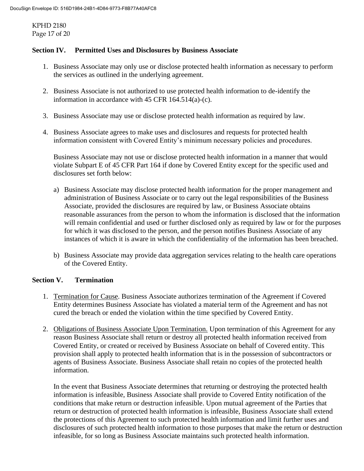KPHD 2180 Page 17 of 20

### **Section IV. Permitted Uses and Disclosures by Business Associate**

- 1. Business Associate may only use or disclose protected health information as necessary to perform the services as outlined in the underlying agreement.
- 2. Business Associate is not authorized to use protected health information to de-identify the information in accordance with 45 CFR 164.514(a)-(c).
- 3. Business Associate may use or disclose protected health information as required by law.
- 4. Business Associate agrees to make uses and disclosures and requests for protected health information consistent with Covered Entity's minimum necessary policies and procedures.

Business Associate may not use or disclose protected health information in a manner that would violate Subpart E of 45 CFR Part 164 if done by Covered Entity except for the specific used and disclosures set forth below:

- a) Business Associate may disclose protected health information for the proper management and administration of Business Associate or to carry out the legal responsibilities of the Business Associate, provided the disclosures are required by law, or Business Associate obtains reasonable assurances from the person to whom the information is disclosed that the information will remain confidential and used or further disclosed only as required by law or for the purposes for which it was disclosed to the person, and the person notifies Business Associate of any instances of which it is aware in which the confidentiality of the information has been breached.
- b) Business Associate may provide data aggregation services relating to the health care operations of the Covered Entity.

#### **Section V. Termination**

- 1. Termination for Cause. Business Associate authorizes termination of the Agreement if Covered Entity determines Business Associate has violated a material term of the Agreement and has not cured the breach or ended the violation within the time specified by Covered Entity.
- 2. Obligations of Business Associate Upon Termination. Upon termination of this Agreement for any reason Business Associate shall return or destroy all protected health information received from Covered Entity, or created or received by Business Associate on behalf of Covered entity. This provision shall apply to protected health information that is in the possession of subcontractors or agents of Business Associate. Business Associate shall retain no copies of the protected health information.

In the event that Business Associate determines that returning or destroying the protected health information is infeasible, Business Associate shall provide to Covered Entity notification of the conditions that make return or destruction infeasible. Upon mutual agreement of the Parties that return or destruction of protected health information is infeasible, Business Associate shall extend the protections of this Agreement to such protected health information and limit further uses and disclosures of such protected health information to those purposes that make the return or destruction infeasible, for so long as Business Associate maintains such protected health information.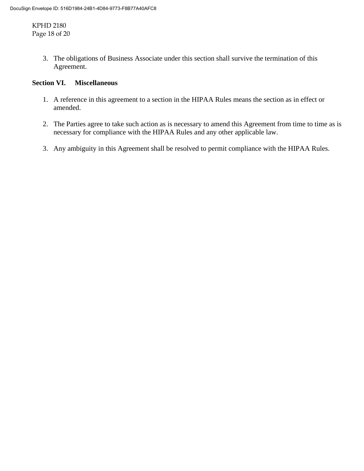KPHD 2180 Page 18 of 20

> 3. The obligations of Business Associate under this section shall survive the termination of this Agreement.

## **Section VI. Miscellaneous**

- 1. A reference in this agreement to a section in the HIPAA Rules means the section as in effect or amended.
- 2. The Parties agree to take such action as is necessary to amend this Agreement from time to time as is necessary for compliance with the HIPAA Rules and any other applicable law.
- 3. Any ambiguity in this Agreement shall be resolved to permit compliance with the HIPAA Rules.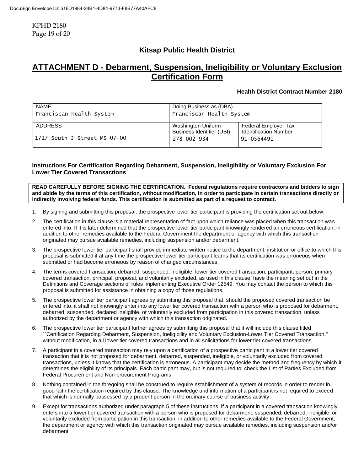KPHD 2180 Page 19 of 20

# **Kitsap Public Health District**

# **ATTACHMENT D - Debarment, Suspension, Ineligibility or Voluntary Exclusion Certification Form**

#### **Health District Contract Number 2180**

| <b>NAME</b><br>Franciscan Health System | Doing Business as (DBA)<br>Franciscan Health System |                                                      |
|-----------------------------------------|-----------------------------------------------------|------------------------------------------------------|
| <b>ADDRESS</b>                          | Washington Uniform<br>Business Identifier (UBI)     | Federal Employer Tax<br><b>Identification Number</b> |
| 1717 South J Street MS 07-00            | 278 002 934                                         | 91-0564491                                           |

#### **Instructions For Certification Regarding Debarment, Suspension, Ineligibility or Voluntary Exclusion For Lower Tier Covered Transactions**

**READ CAREFULLY BEFORE SIGNING THE CERTIFICATION. Federal regulations require contractors and bidders to sign and abide by the terms of this certification, without modification, in order to participate in certain transactions directly or indirectly involving federal funds. This certification is submitted as part of a request to contract.**

- 1. By signing and submitting this proposal, the prospective lower tier participant is providing the certification set out below.
- 2. The certification in this clause is a material representation of fact upon which reliance was placed when this transaction was entered into. If it is later determined that the prospective lower tier participant knowingly rendered an erroneous certification, in addition to other remedies available to the Federal Government the department or agency with which this transaction originated may pursue available remedies, including suspension and/or debarment.
- 3. The prospective lower tier participant shall provide immediate written notice to the department, institution or office to which this proposal is submitted if at any time the prospective lower tier participant learns that its certification was erroneous when submitted or had become erroneous by reason of changed circumstances.
- 4. The terms covered transaction, debarred, suspended, ineligible, lower tier covered transaction, participant, person, primary covered transaction, principal, proposal, and voluntarily excluded, as used in this clause, have the meaning set out in the Definitions and Coverage sections of rules implementing Executive Order 12549. You may contact the person to which this proposal is submitted for assistance in obtaining a copy of those regulations.
- 5. The prospective lower tier participant agrees by submitting this proposal that, should the proposed covered transaction be entered into, it shall not knowingly enter into any lower tier covered transaction with a person who is proposed for debarment, debarred, suspended, declared ineligible, or voluntarily excluded from participation in this covered transaction, unless authorized by the department or agency with which this transaction originated.
- 6. The prospective lower tier participant further agrees by submitting this proposal that it will include this clause titled ``Certification Regarding Debarment, Suspension, Ineligibility and Voluntary Exclusion-Lower Tier Covered Transaction,'' without modification, in all lower tier covered transactions and in all solicitations for lower tier covered transactions.
- 7. A participant in a covered transaction may rely upon a certification of a prospective participant in a lower tier covered transaction that it is not proposed for debarment, debarred, suspended, ineligible, or voluntarily excluded from covered transactions, unless it knows that the certification is erroneous. A participant may decide the method and frequency by which it determines the eligibility of its principals. Each participant may, but is not required to, check the List of Parties Excluded from Federal Procurement and Non-procurement Programs.
- 8. Nothing contained in the foregoing shall be construed to require establishment of a system of records in order to render in good faith the certification required by this clause. The knowledge and information of a participant is not required to exceed that which is normally possessed by a prudent person in the ordinary course of business activity.
- Except for transactions authorized under paragraph 5 of these instructions, if a participant in a covered transaction knowingly enters into a lower tier covered transaction with a person who is proposed for debarment, suspended, debarred, ineligible, or voluntarily excluded from participation in this transaction, in addition to other remedies available to the Federal Government, the department or agency with which this transaction originated may pursue available remedies, including suspension and/or debarment.